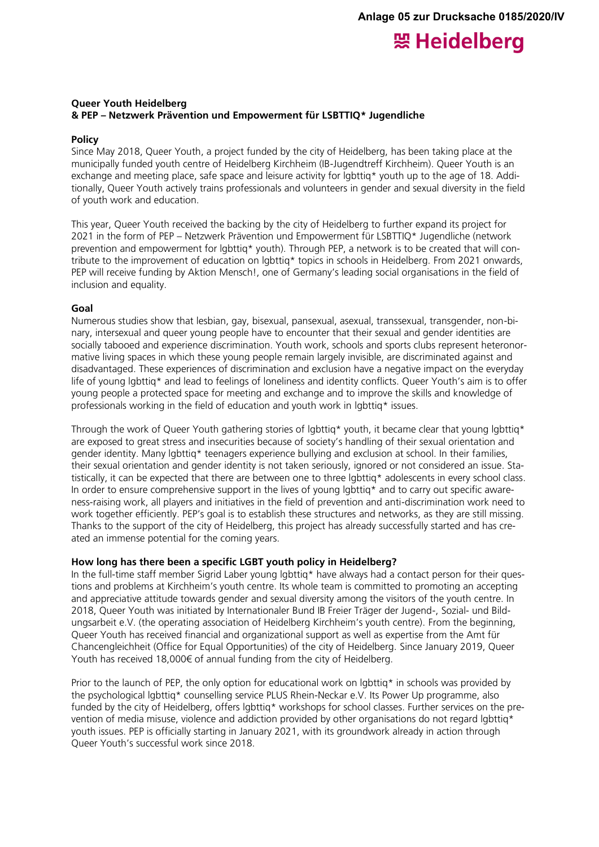# 照 Heidelberg

# **Queer Youth Heidelberg & PEP – Netzwerk Prävention und Empowerment für LSBTTIQ\* Jugendliche**

## **Policy**

Since May 2018, Queer Youth, a project funded by the city of Heidelberg, has been taking place at the municipally funded youth centre of Heidelberg Kirchheim (IB-Jugendtreff Kirchheim). Queer Youth is an exchange and meeting place, safe space and leisure activity for lgbttiq\* youth up to the age of 18. Additionally, Queer Youth actively trains professionals and volunteers in gender and sexual diversity in the field of youth work and education.

This year, Queer Youth received the backing by the city of Heidelberg to further expand its project for 2021 in the form of PEP – Netzwerk Prävention und Empowerment für LSBTTIQ\* Jugendliche (network prevention and empowerment for lgbttiq\* youth). Through PEP, a network is to be created that will contribute to the improvement of education on lgbttiq\* topics in schools in Heidelberg. From 2021 onwards, PEP will receive funding by Aktion Mensch!, one of Germany's leading social organisations in the field of inclusion and equality.

## **Goal**

Numerous studies show that lesbian, gay, bisexual, pansexual, asexual, transsexual, transgender, non-binary, intersexual and queer young people have to encounter that their sexual and gender identities are socially tabooed and experience discrimination. Youth work, schools and sports clubs represent heteronormative living spaces in which these young people remain largely invisible, are discriminated against and disadvantaged. These experiences of discrimination and exclusion have a negative impact on the everyday life of young lgbttiq\* and lead to feelings of loneliness and identity conflicts. Queer Youth's aim is to offer young people a protected space for meeting and exchange and to improve the skills and knowledge of professionals working in the field of education and youth work in lgbttiq\* issues.

Through the work of Queer Youth gathering stories of lgbttiq\* youth, it became clear that young lgbttiq\* are exposed to great stress and insecurities because of society's handling of their sexual orientation and gender identity. Many lgbttiq\* teenagers experience bullying and exclusion at school. In their families, their sexual orientation and gender identity is not taken seriously, ignored or not considered an issue. Statistically, it can be expected that there are between one to three lgbttiq\* adolescents in every school class. In order to ensure comprehensive support in the lives of young lgbttiq\* and to carry out specific awareness-raising work, all players and initiatives in the field of prevention and anti-discrimination work need to work together efficiently. PEP's goal is to establish these structures and networks, as they are still missing. Thanks to the support of the city of Heidelberg, this project has already successfully started and has created an immense potential for the coming years.

## **How long has there been a specific LGBT youth policy in Heidelberg?**

In the full-time staff member Sigrid Laber young lgbttig\* have always had a contact person for their questions and problems at Kirchheim's youth centre. Its whole team is committed to promoting an accepting and appreciative attitude towards gender and sexual diversity among the visitors of the youth centre. In 2018, Queer Youth was initiated by Internationaler Bund IB Freier Träger der Jugend-, Sozial- und Bildungsarbeit e.V. (the operating association of Heidelberg Kirchheim's youth centre). From the beginning, Queer Youth has received financial and organizational support as well as expertise from the Amt für Chancengleichheit (Office for Equal Opportunities) of the city of Heidelberg. Since January 2019, Queer Youth has received 18,000€ of annual funding from the city of Heidelberg.

Prior to the launch of PEP, the only option for educational work on lgbttig\* in schools was provided by the psychological lgbttiq\* counselling service PLUS Rhein-Neckar e.V. Its Power Up programme, also funded by the city of Heidelberg, offers lgbttig\* workshops for school classes. Further services on the prevention of media misuse, violence and addiction provided by other organisations do not regard lgbttig\* youth issues. PEP is officially starting in January 2021, with its groundwork already in action through Queer Youth's successful work since 2018.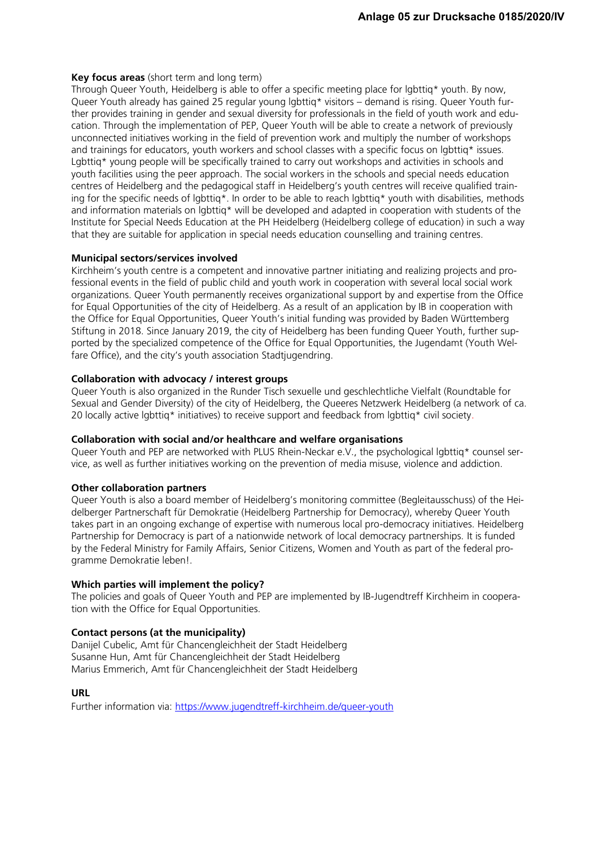# **Key focus areas** (short term and long term)

Through Queer Youth, Heidelberg is able to offer a specific meeting place for lgbttiq\* youth. By now, Queer Youth already has gained 25 regular young lgbttiq\* visitors – demand is rising. Queer Youth further provides training in gender and sexual diversity for professionals in the field of youth work and education. Through the implementation of PEP, Queer Youth will be able to create a network of previously unconnected initiatives working in the field of prevention work and multiply the number of workshops and trainings for educators, youth workers and school classes with a specific focus on lgbttig\* issues. Lgbttig\* young people will be specifically trained to carry out workshops and activities in schools and youth facilities using the peer approach. The social workers in the schools and special needs education centres of Heidelberg and the pedagogical staff in Heidelberg's youth centres will receive qualified training for the specific needs of lgbttiq\*. In order to be able to reach lgbttiq\* youth with disabilities, methods and information materials on lgbttiq\* will be developed and adapted in cooperation with students of the Institute for Special Needs Education at the PH Heidelberg (Heidelberg college of education) in such a way that they are suitable for application in special needs education counselling and training centres.

# **Municipal sectors/services involved**

Kirchheim's youth centre is a competent and innovative partner initiating and realizing projects and professional events in the field of public child and youth work in cooperation with several local social work organizations. Queer Youth permanently receives organizational support by and expertise from the Office for Equal Opportunities of the city of Heidelberg. As a result of an application by IB in cooperation with the Office for Equal Opportunities, Queer Youth's initial funding was provided by Baden Württemberg Stiftung in 2018. Since January 2019, the city of Heidelberg has been funding Queer Youth, further supported by the specialized competence of the Office for Equal Opportunities, the Jugendamt (Youth Welfare Office), and the city's youth association Stadtjugendring.

# **Collaboration with advocacy / interest groups**

Queer Youth is also organized in the Runder Tisch sexuelle und geschlechtliche Vielfalt (Roundtable for Sexual and Gender Diversity) of the city of Heidelberg, the Queeres Netzwerk Heidelberg (a network of ca. 20 locally active lgbttig\* initiatives) to receive support and feedback from lgbttig\* civil society.

## **Collaboration with social and/or healthcare and welfare organisations**

Queer Youth and PEP are networked with PLUS Rhein-Neckar e.V., the psychological lgbttig\* counsel service, as well as further initiatives working on the prevention of media misuse, violence and addiction.

## **Other collaboration partners**

Queer Youth is also a board member of Heidelberg's monitoring committee (Begleitausschuss) of the Heidelberger Partnerschaft für Demokratie (Heidelberg Partnership for Democracy), whereby Queer Youth takes part in an ongoing exchange of expertise with numerous local pro-democracy initiatives. Heidelberg Partnership for Democracy is part of a nationwide network of local democracy partnerships. It is funded by the Federal Ministry for Family Affairs, Senior Citizens, Women and Youth as part of the federal programme Demokratie leben!.

## **Which parties will implement the policy?**

The policies and goals of Queer Youth and PEP are implemented by IB-Jugendtreff Kirchheim in cooperation with the Office for Equal Opportunities.

# **Contact persons (at the municipality)**

Danijel Cubelic, Amt für Chancengleichheit der Stadt Heidelberg Susanne Hun, Amt für Chancengleichheit der Stadt Heidelberg Marius Emmerich, Amt für Chancengleichheit der Stadt Heidelberg

# **URL**

Further information via:<https://www.jugendtreff-kirchheim.de/queer-youth>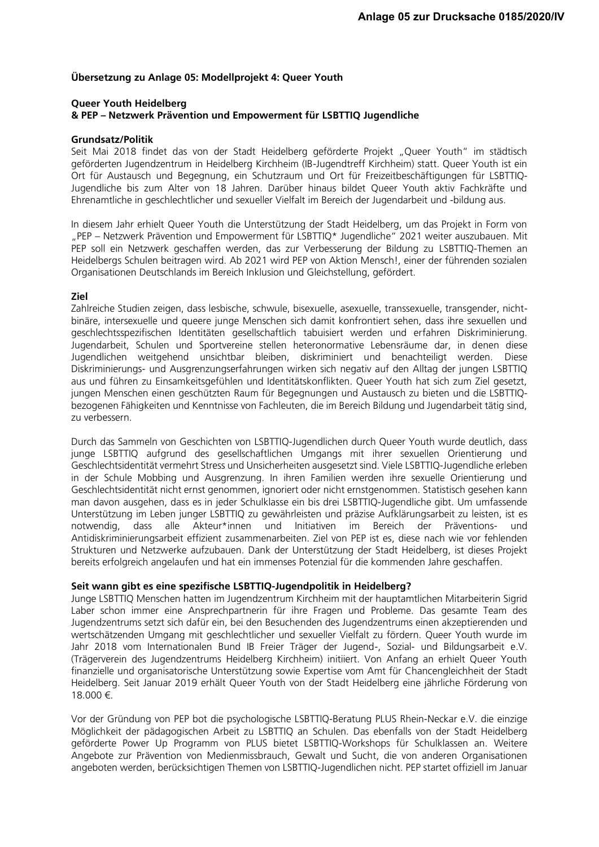# **Übersetzung zu Anlage 05: Modellprojekt 4: Queer Youth**

# **Queer Youth Heidelberg & PEP – Netzwerk Prävention und Empowerment für LSBTTIQ Jugendliche**

#### **Grundsatz/Politik**

Seit Mai 2018 findet das von der Stadt Heidelberg geförderte Projekt "Queer Youth" im städtisch geförderten Jugendzentrum in Heidelberg Kirchheim (IB-Jugendtreff Kirchheim) statt. Queer Youth ist ein Ort für Austausch und Begegnung, ein Schutzraum und Ort für Freizeitbeschäftigungen für LSBTTIQ-Jugendliche bis zum Alter von 18 Jahren. Darüber hinaus bildet Queer Youth aktiv Fachkräfte und Ehrenamtliche in geschlechtlicher und sexueller Vielfalt im Bereich der Jugendarbeit und -bildung aus.

In diesem Jahr erhielt Queer Youth die Unterstützung der Stadt Heidelberg, um das Projekt in Form von "PEP – Netzwerk Prävention und Empowerment für LSBTTIQ\* Jugendliche" 2021 weiter auszubauen. Mit PEP soll ein Netzwerk geschaffen werden, das zur Verbesserung der Bildung zu LSBTTIQ-Themen an Heidelbergs Schulen beitragen wird. Ab 2021 wird PEP von Aktion Mensch!, einer der führenden sozialen Organisationen Deutschlands im Bereich Inklusion und Gleichstellung, gefördert.

## **Ziel**

Zahlreiche Studien zeigen, dass lesbische, schwule, bisexuelle, asexuelle, transsexuelle, transgender, nichtbinäre, intersexuelle und queere junge Menschen sich damit konfrontiert sehen, dass ihre sexuellen und geschlechtsspezifischen Identitäten gesellschaftlich tabuisiert werden und erfahren Diskriminierung. Jugendarbeit, Schulen und Sportvereine stellen heteronormative Lebensräume dar, in denen diese Jugendlichen weitgehend unsichtbar bleiben, diskriminiert und benachteiligt werden. Diese Diskriminierungs- und Ausgrenzungserfahrungen wirken sich negativ auf den Alltag der jungen LSBTTIQ aus und führen zu Einsamkeitsgefühlen und Identitätskonflikten. Queer Youth hat sich zum Ziel gesetzt, jungen Menschen einen geschützten Raum für Begegnungen und Austausch zu bieten und die LSBTTIQbezogenen Fähigkeiten und Kenntnisse von Fachleuten, die im Bereich Bildung und Jugendarbeit tätig sind, zu verbessern.

Durch das Sammeln von Geschichten von LSBTTIQ-Jugendlichen durch Queer Youth wurde deutlich, dass junge LSBTTIQ aufgrund des gesellschaftlichen Umgangs mit ihrer sexuellen Orientierung und Geschlechtsidentität vermehrt Stress und Unsicherheiten ausgesetzt sind. Viele LSBTTIQ-Jugendliche erleben in der Schule Mobbing und Ausgrenzung. In ihren Familien werden ihre sexuelle Orientierung und Geschlechtsidentität nicht ernst genommen, ignoriert oder nicht ernstgenommen. Statistisch gesehen kann man davon ausgehen, dass es in jeder Schulklasse ein bis drei LSBTTIQ-Jugendliche gibt. Um umfassende Unterstützung im Leben junger LSBTTIQ zu gewährleisten und präzise Aufklärungsarbeit zu leisten, ist es notwendig, dass alle Akteur\*innen und Initiativen im Bereich der Präventions- und Antidiskriminierungsarbeit effizient zusammenarbeiten. Ziel von PEP ist es, diese nach wie vor fehlenden Strukturen und Netzwerke aufzubauen. Dank der Unterstützung der Stadt Heidelberg, ist dieses Projekt bereits erfolgreich angelaufen und hat ein immenses Potenzial für die kommenden Jahre geschaffen.

## **Seit wann gibt es eine spezifische LSBTTIQ-Jugendpolitik in Heidelberg?**

Junge LSBTTIQ Menschen hatten im Jugendzentrum Kirchheim mit der hauptamtlichen Mitarbeiterin Sigrid Laber schon immer eine Ansprechpartnerin für ihre Fragen und Probleme. Das gesamte Team des Jugendzentrums setzt sich dafür ein, bei den Besuchenden des Jugendzentrums einen akzeptierenden und wertschätzenden Umgang mit geschlechtlicher und sexueller Vielfalt zu fördern. Queer Youth wurde im Jahr 2018 vom Internationalen Bund IB Freier Träger der Jugend-, Sozial- und Bildungsarbeit e.V. (Trägerverein des Jugendzentrums Heidelberg Kirchheim) initiiert. Von Anfang an erhielt Queer Youth finanzielle und organisatorische Unterstützung sowie Expertise vom Amt für Chancengleichheit der Stadt Heidelberg. Seit Januar 2019 erhält Queer Youth von der Stadt Heidelberg eine jährliche Förderung von 18.000 €.

Vor der Gründung von PEP bot die psychologische LSBTTIQ-Beratung PLUS Rhein-Neckar e.V. die einzige Möglichkeit der pädagogischen Arbeit zu LSBTTIQ an Schulen. Das ebenfalls von der Stadt Heidelberg geförderte Power Up Programm von PLUS bietet LSBTTIQ-Workshops für Schulklassen an. Weitere Angebote zur Prävention von Medienmissbrauch, Gewalt und Sucht, die von anderen Organisationen angeboten werden, berücksichtigen Themen von LSBTTIQ-Jugendlichen nicht. PEP startet offiziell im Januar